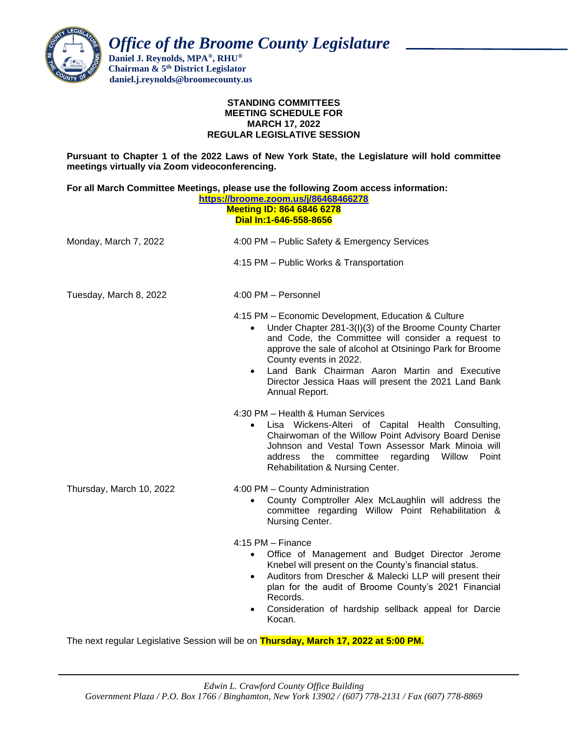

 *Office of the Broome County Legislature*

 **Daniel J. Reynolds, MPA®, RHU® Chairman & 5th District Legislator daniel.j.reynolds@broomecounty.us**

#### **STANDING COMMITTEES MEETING SCHEDULE FOR MARCH 17, 2022 REGULAR LEGISLATIVE SESSION**

**Pursuant to Chapter 1 of the 2022 Laws of New York State, the Legislature will hold committee meetings virtually via Zoom videoconferencing.** 

| For all March Committee Meetings, please use the following Zoom access information:<br>https://broome.zoom.us/j/86468466278<br><b>Meeting ID: 864 6846 6278</b><br>Dial In:1-646-558-8656 |                                                                                                                                                                                                                                                                                                                                                                                                                 |
|-------------------------------------------------------------------------------------------------------------------------------------------------------------------------------------------|-----------------------------------------------------------------------------------------------------------------------------------------------------------------------------------------------------------------------------------------------------------------------------------------------------------------------------------------------------------------------------------------------------------------|
| Monday, March 7, 2022                                                                                                                                                                     | 4:00 PM - Public Safety & Emergency Services                                                                                                                                                                                                                                                                                                                                                                    |
|                                                                                                                                                                                           | 4:15 PM - Public Works & Transportation                                                                                                                                                                                                                                                                                                                                                                         |
| Tuesday, March 8, 2022                                                                                                                                                                    | 4:00 PM - Personnel                                                                                                                                                                                                                                                                                                                                                                                             |
|                                                                                                                                                                                           | 4:15 PM - Economic Development, Education & Culture<br>Under Chapter 281-3(I)(3) of the Broome County Charter<br>$\bullet$<br>and Code, the Committee will consider a request to<br>approve the sale of alcohol at Otsiningo Park for Broome<br>County events in 2022.<br>Land Bank Chairman Aaron Martin and Executive<br>$\bullet$<br>Director Jessica Haas will present the 2021 Land Bank<br>Annual Report. |
|                                                                                                                                                                                           | 4:30 PM - Health & Human Services<br>Lisa Wickens-Alteri of Capital Health Consulting,<br>Chairwoman of the Willow Point Advisory Board Denise<br>Johnson and Vestal Town Assessor Mark Minoia will<br>committee<br>regarding Willow<br>Point<br>address the<br>Rehabilitation & Nursing Center.                                                                                                                |
| Thursday, March 10, 2022                                                                                                                                                                  | 4:00 PM - County Administration<br>County Comptroller Alex McLaughlin will address the<br>$\bullet$<br>committee regarding Willow Point Rehabilitation &<br>Nursing Center.                                                                                                                                                                                                                                     |
|                                                                                                                                                                                           | $4:15$ PM $-$ Finance<br>Office of Management and Budget Director Jerome<br>Knebel will present on the County's financial status.<br>Auditors from Drescher & Malecki LLP will present their<br>$\bullet$<br>plan for the audit of Broome County's 2021 Financial<br>Records.<br>Consideration of hardship sellback appeal for Darcie<br>Kocan.                                                                 |

The next regular Legislative Session will be on **Thursday, March 17, 2022 at 5:00 PM.**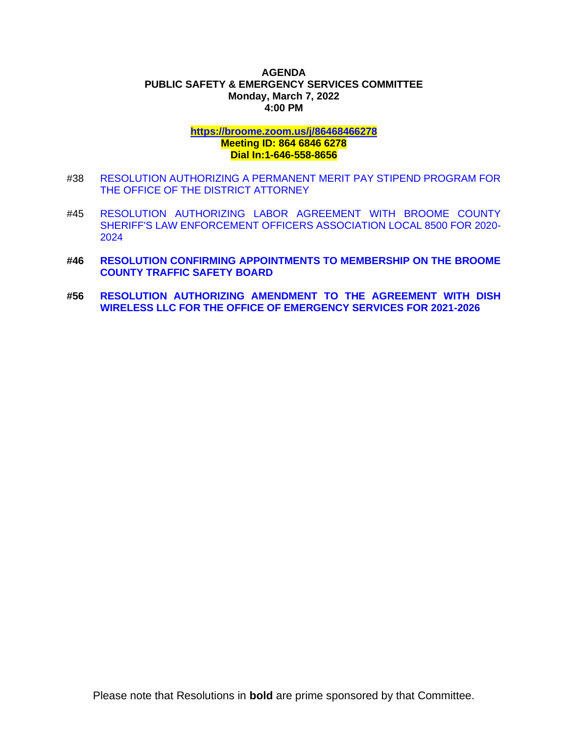## **AGENDA PUBLIC SAFETY & EMERGENCY SERVICES COMMITTEE Monday, March 7, 2022 4:00 PM**

# **<https://broome.zoom.us/j/86468466278> Meeting ID: 864 6846 6278 Dial In:1-646-558-8656**

- #38 [RESOLUTION AUTHORIZING A PERMANENT MERIT PAY STIPEND PROGRAM FOR](https://www.gobroomecounty.com/sites/default/files/dept/legis/03172022-38.pdf)  [THE OFFICE OF THE DISTRICT ATTORNEY](https://www.gobroomecounty.com/sites/default/files/dept/legis/03172022-38.pdf)
- #45 [RESOLUTION AUTHORIZING LABOR AGREEMENT WITH BROOME COUNTY](https://www.gobroomecounty.com/sites/default/files/dept/legis/03172022-45a.pdf)  [SHERIFF'S LAW ENFORCEMENT OFFICERS ASSOCIATION LOCAL 8500 FOR 2020-](https://www.gobroomecounty.com/sites/default/files/dept/legis/03172022-45a.pdf) [2024](https://www.gobroomecounty.com/sites/default/files/dept/legis/03172022-45a.pdf)
- **#46 [RESOLUTION CONFIRMING APPOINTMENTS TO MEMBERSHIP ON THE BROOME](https://www.gobroomecounty.com/sites/default/files/dept/legis/03172022-46.pdf)  [COUNTY TRAFFIC SAFETY BOARD](https://www.gobroomecounty.com/sites/default/files/dept/legis/03172022-46.pdf)**
- **#56 [RESOLUTION AUTHORIZING AMENDMENT TO THE AGREEMENT WITH DISH](https://www.gobroomecounty.com/sites/default/files/dept/legis/03172022-56.pdf)  [WIRELESS LLC FOR THE OFFICE OF EMERGENCY SERVICES FOR 2021-2026](https://www.gobroomecounty.com/sites/default/files/dept/legis/03172022-56.pdf)**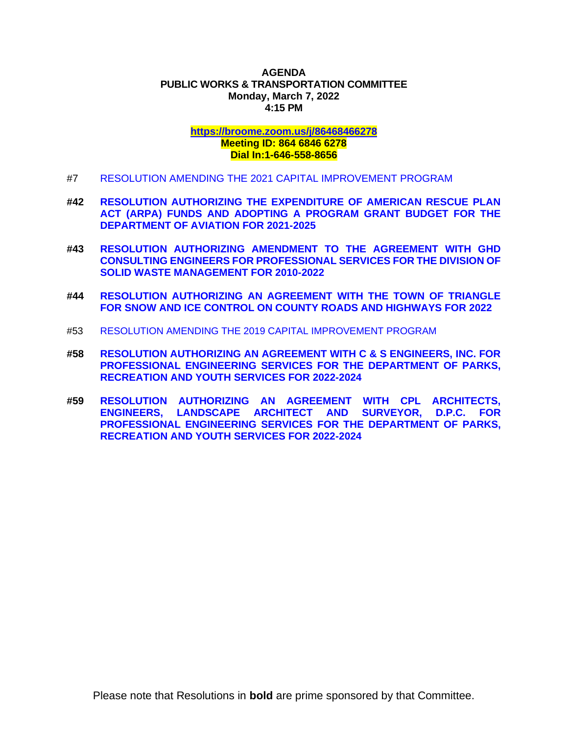## **AGENDA PUBLIC WORKS & TRANSPORTATION COMMITTEE Monday, March 7, 2022 4:15 PM**

## **<https://broome.zoom.us/j/86468466278> Meeting ID: 864 6846 6278 Dial In:1-646-558-8656**

- #7 [RESOLUTION AMENDING THE 2021 CAPITAL IMPROVEMENT PROGRAM](https://www.gobroomecounty.com/sites/default/files/dept/legis/03172022-07.pdf)
- **#42 [RESOLUTION AUTHORIZING THE EXPENDITURE OF AMERICAN RESCUE PLAN](https://www.gobroomecounty.com/sites/default/files/dept/legis/03172022-42.pdf)  [ACT \(ARPA\) FUNDS AND ADOPTING A PROGRAM GRANT BUDGET FOR THE](https://www.gobroomecounty.com/sites/default/files/dept/legis/03172022-42.pdf)  [DEPARTMENT OF AVIATION FOR 2021-2025](https://www.gobroomecounty.com/sites/default/files/dept/legis/03172022-42.pdf)**
- **#43 [RESOLUTION AUTHORIZING AMENDMENT TO THE AGREEMENT WITH GHD](https://www.gobroomecounty.com/sites/default/files/dept/legis/03172022-43.pdf)  [CONSULTING ENGINEERS FOR PROFESSIONAL SERVICES FOR THE DIVISION OF](https://www.gobroomecounty.com/sites/default/files/dept/legis/03172022-43.pdf)  [SOLID WASTE MANAGEMENT FOR 2010-2022](https://www.gobroomecounty.com/sites/default/files/dept/legis/03172022-43.pdf)**
- **#44 [RESOLUTION AUTHORIZING AN AGREEMENT WITH THE TOWN OF TRIANGLE](https://www.gobroomecounty.com/sites/default/files/dept/legis/03172022-44.pdf)  [FOR SNOW AND ICE CONTROL ON COUNTY ROADS AND HIGHWAYS FOR 2022](https://www.gobroomecounty.com/sites/default/files/dept/legis/03172022-44.pdf)**
- #53 [RESOLUTION AMENDING THE 2019 CAPITAL IMPROVEMENT PROGRAM](https://www.gobroomecounty.com/sites/default/files/dept/legis/03172022-53.pdf)
- **#58 [RESOLUTION AUTHORIZING AN AGREEMENT WITH C & S ENGINEERS, INC. FOR](https://www.gobroomecounty.com/sites/default/files/dept/legis/03172022-58.pdf)  [PROFESSIONAL ENGINEERING SERVICES FOR THE DEPARTMENT OF PARKS,](https://www.gobroomecounty.com/sites/default/files/dept/legis/03172022-58.pdf)  [RECREATION AND YOUTH SERVICES FOR 2022-2024](https://www.gobroomecounty.com/sites/default/files/dept/legis/03172022-58.pdf)**
- **#59 [RESOLUTION AUTHORIZING AN AGREEMENT WITH CPL ARCHITECTS,](https://www.gobroomecounty.com/sites/default/files/dept/legis/03172022-59.pdf)  [ENGINEERS, LANDSCAPE ARCHITECT](https://www.gobroomecounty.com/sites/default/files/dept/legis/03172022-59.pdf) AND SURVEYOR, D.P.C. FOR [PROFESSIONAL ENGINEERING SERVICES FOR THE DEPARTMENT OF PARKS,](https://www.gobroomecounty.com/sites/default/files/dept/legis/03172022-59.pdf)  [RECREATION AND YOUTH SERVICES FOR 2022-2024](https://www.gobroomecounty.com/sites/default/files/dept/legis/03172022-59.pdf)**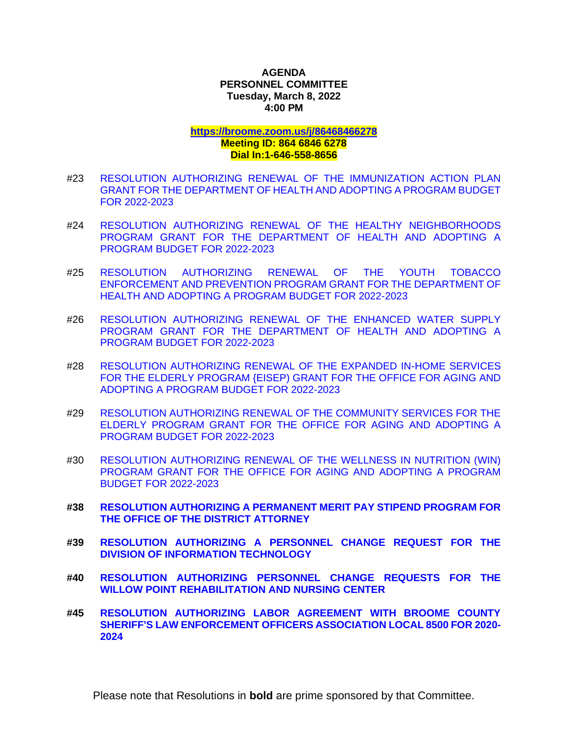## **AGENDA PERSONNEL COMMITTEE Tuesday, March 8, 2022 4:00 PM**

**<https://broome.zoom.us/j/86468466278>**

## **Meeting ID: 864 6846 6278 Dial In:1-646-558-8656**

- #23 [RESOLUTION AUTHORIZING RENEWAL OF THE IMMUNIZATION ACTION PLAN](https://www.gobroomecounty.com/sites/default/files/dept/legis/03172022-23a.pdf)  [GRANT FOR THE DEPARTMENT OF HEALTH AND ADOPTING A PROGRAM BUDGET](https://www.gobroomecounty.com/sites/default/files/dept/legis/03172022-23a.pdf)  [FOR 2022-2023](https://www.gobroomecounty.com/sites/default/files/dept/legis/03172022-23a.pdf)
- #24 [RESOLUTION AUTHORIZING RENEWAL OF THE HEALTHY NEIGHBORHOODS](https://www.gobroomecounty.com/sites/default/files/dept/legis/03172022-24.pdf)  [PROGRAM GRANT FOR THE DEPARTMENT OF HEALTH AND ADOPTING A](https://www.gobroomecounty.com/sites/default/files/dept/legis/03172022-24.pdf)  [PROGRAM BUDGET FOR 2022-2023](https://www.gobroomecounty.com/sites/default/files/dept/legis/03172022-24.pdf)
- #25 [RESOLUTION AUTHORIZING RENEWAL OF THE YOUTH TOBACCO](https://www.gobroomecounty.com/sites/default/files/dept/legis/03172022-25.pdf)  [ENFORCEMENT AND PREVENTION PROGRAM GRANT FOR THE DEPARTMENT OF](https://www.gobroomecounty.com/sites/default/files/dept/legis/03172022-25.pdf)  [HEALTH AND ADOPTING A PROGRAM BUDGET FOR 2022-2023](https://www.gobroomecounty.com/sites/default/files/dept/legis/03172022-25.pdf)
- #26 [RESOLUTION AUTHORIZING RENEWAL OF THE ENHANCED WATER SUPPLY](https://www.gobroomecounty.com/sites/default/files/dept/legis/03172022-26a.pdf)  [PROGRAM GRANT FOR THE DEPARTMENT OF HEALTH AND ADOPTING A](https://www.gobroomecounty.com/sites/default/files/dept/legis/03172022-26a.pdf)  [PROGRAM BUDGET FOR 2022-2023](https://www.gobroomecounty.com/sites/default/files/dept/legis/03172022-26a.pdf)
- #28 [RESOLUTION AUTHORIZING RENEWAL OF THE EXPANDED IN-HOME SERVICES](https://www.gobroomecounty.com/sites/default/files/dept/legis/03172022-28.pdf)  FOR THE ELDERLY [PROGRAM {EISEP\) GRANT FOR THE OFFICE FOR AGING AND](https://www.gobroomecounty.com/sites/default/files/dept/legis/03172022-28.pdf)  [ADOPTING A PROGRAM BUDGET FOR 2022-2023](https://www.gobroomecounty.com/sites/default/files/dept/legis/03172022-28.pdf)
- #29 [RESOLUTION AUTHORIZING RENEWAL OF THE COMMUNITY SERVICES FOR THE](https://www.gobroomecounty.com/sites/default/files/dept/legis/03172022-29.pdf)  [ELDERLY PROGRAM GRANT FOR THE OFFICE FOR AGING AND ADOPTING A](https://www.gobroomecounty.com/sites/default/files/dept/legis/03172022-29.pdf)  PROGRAM [BUDGET FOR 2022-2023](https://www.gobroomecounty.com/sites/default/files/dept/legis/03172022-29.pdf)
- #30 [RESOLUTION AUTHORIZING RENEWAL OF THE WELLNESS IN NUTRITION \(WIN\)](https://www.gobroomecounty.com/sites/default/files/dept/legis/03172022-30a.pdf)  [PROGRAM GRANT FOR THE OFFICE FOR AGING AND ADOPTING A PROGRAM](https://www.gobroomecounty.com/sites/default/files/dept/legis/03172022-30a.pdf)  [BUDGET FOR 2022-2023](https://www.gobroomecounty.com/sites/default/files/dept/legis/03172022-30a.pdf)
- **#38 [RESOLUTION AUTHORIZING A PERMANENT MERIT PAY STIPEND PROGRAM FOR](https://www.gobroomecounty.com/sites/default/files/dept/legis/03172022-38.pdf)  [THE OFFICE OF THE DISTRICT ATTORNEY](https://www.gobroomecounty.com/sites/default/files/dept/legis/03172022-38.pdf)**
- **#39 [RESOLUTION AUTHORIZING A PERSONNEL CHANGE REQUEST FOR THE](https://www.gobroomecounty.com/sites/default/files/dept/legis/03172022-39.pdf)  [DIVISION OF INFORMATION TECHNOLOGY](https://www.gobroomecounty.com/sites/default/files/dept/legis/03172022-39.pdf)**
- **#40 [RESOLUTION AUTHORIZING PERSONNEL CHANGE REQUESTS FOR THE](https://www.gobroomecounty.com/sites/default/files/dept/legis/03172022-40.pdf)  [WILLOW POINT REHABILITATION AND NURSING CENTER](https://www.gobroomecounty.com/sites/default/files/dept/legis/03172022-40.pdf)**
- **#45 [RESOLUTION AUTHORIZING LABOR AGREEMENT WITH BROOME COUNTY](https://www.gobroomecounty.com/sites/default/files/dept/legis/03172022-45a.pdf)  [SHERIFF'S LAW ENFORCEMENT OFFICERS ASSOCIATION LOCAL 8500 FOR 2020-](https://www.gobroomecounty.com/sites/default/files/dept/legis/03172022-45a.pdf) [2024](https://www.gobroomecounty.com/sites/default/files/dept/legis/03172022-45a.pdf)**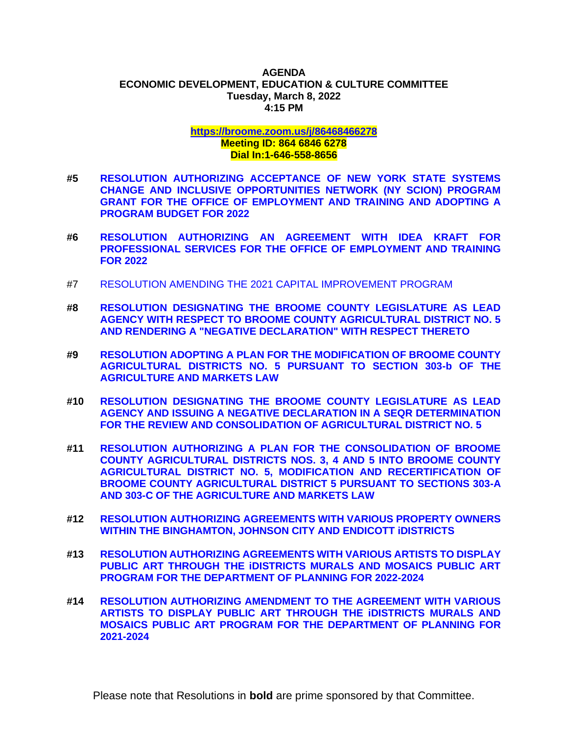#### **AGENDA ECONOMIC DEVELOPMENT, EDUCATION & CULTURE COMMITTEE Tuesday, March 8, 2022 4:15 PM**

# **<https://broome.zoom.us/j/86468466278> Meeting ID: 864 6846 6278 Dial In:1-646-558-8656**

- **#5 [RESOLUTION AUTHORIZING ACCEPTANCE OF NEW YORK STATE SYSTEMS](https://www.gobroomecounty.com/sites/default/files/dept/legis/03172022-05.pdf)  [CHANGE AND INCLUSIVE OPPORTUNITIES NETWORK \(NY SCION\) PROGRAM](https://www.gobroomecounty.com/sites/default/files/dept/legis/03172022-05.pdf)  [GRANT FOR THE OFFICE OF EMPLOYMENT AND TRAINING AND ADOPTING A](https://www.gobroomecounty.com/sites/default/files/dept/legis/03172022-05.pdf)  [PROGRAM BUDGET FOR 2022](https://www.gobroomecounty.com/sites/default/files/dept/legis/03172022-05.pdf)**
- **#6 [RESOLUTION AUTHORIZING AN AGREEMENT WITH IDEA KRAFT FOR](https://www.gobroomecounty.com/sites/default/files/dept/legis/03172022-06.pdf)  [PROFESSIONAL SERVICES FOR THE OFFICE OF EMPLOYMENT AND TRAINING](https://www.gobroomecounty.com/sites/default/files/dept/legis/03172022-06.pdf)  [FOR 2022](https://www.gobroomecounty.com/sites/default/files/dept/legis/03172022-06.pdf)**
- #7 [RESOLUTION AMENDING THE 2021 CAPITAL IMPROVEMENT PROGRAM](https://www.gobroomecounty.com/sites/default/files/dept/legis/03172022-07.pdf)
- **#8 [RESOLUTION DESIGNATING THE BROOME COUNTY LEGISLATURE AS LEAD](https://www.gobroomecounty.com/sites/default/files/dept/legis/03172022-08.pdf)  [AGENCY WITH RESPECT TO BROOME COUNTY AGRICULTURAL DISTRICT NO. 5](https://www.gobroomecounty.com/sites/default/files/dept/legis/03172022-08.pdf)  [AND RENDERING A "NEGATIVE DECLARATION" WITH RESPECT THERETO](https://www.gobroomecounty.com/sites/default/files/dept/legis/03172022-08.pdf)**
- **#9 [RESOLUTION ADOPTING A PLAN FOR THE MODIFICATION OF BROOME COUNTY](https://www.gobroomecounty.com/sites/default/files/dept/legis/03172022-09.pdf)  [AGRICULTURAL DISTRICTS NO. 5 PURSUANT TO SECTION 303-b OF THE](https://www.gobroomecounty.com/sites/default/files/dept/legis/03172022-09.pdf)  [AGRICULTURE AND MARKETS LAW](https://www.gobroomecounty.com/sites/default/files/dept/legis/03172022-09.pdf)**
- **#10 [RESOLUTION DESIGNATING THE BROOME COUNTY LEGISLATURE AS LEAD](https://www.gobroomecounty.com/sites/default/files/dept/legis/03172022-10.pdf)  [AGENCY AND ISSUING A NEGATIVE DECLARATION IN A SEQR DETERMINATION](https://www.gobroomecounty.com/sites/default/files/dept/legis/03172022-10.pdf)  [FOR THE REVIEW AND CONSOLIDATION OF AGRICULTURAL DISTRICT NO. 5](https://www.gobroomecounty.com/sites/default/files/dept/legis/03172022-10.pdf)**
- **#11 [RESOLUTION AUTHORIZING A PLAN FOR THE CONSOLIDATION OF BROOME](https://www.gobroomecounty.com/sites/default/files/dept/legis/03172022-11.pdf)  [COUNTY AGRICULTURAL DISTRICTS NOS. 3, 4 AND 5 INTO BROOME COUNTY](https://www.gobroomecounty.com/sites/default/files/dept/legis/03172022-11.pdf)  [AGRICULTURAL DISTRICT NO. 5, MODIFICATION AND RECERTIFICATION OF](https://www.gobroomecounty.com/sites/default/files/dept/legis/03172022-11.pdf)  [BROOME COUNTY AGRICULTURAL DISTRICT 5 PURSUANT TO SECTIONS 303-A](https://www.gobroomecounty.com/sites/default/files/dept/legis/03172022-11.pdf)  [AND 303-C OF THE AGRICULTURE AND MARKETS LAW](https://www.gobroomecounty.com/sites/default/files/dept/legis/03172022-11.pdf)**
- **#12 [RESOLUTION AUTHORIZING AGREEMENTS WITH VARIOUS PROPERTY OWNERS](https://www.gobroomecounty.com/sites/default/files/dept/legis/03172022-12.pdf)  [WITHIN THE BINGHAMTON, JOHNSON CITY AND ENDICOTT iDISTRICTS](https://www.gobroomecounty.com/sites/default/files/dept/legis/03172022-12.pdf)**
- **#13 [RESOLUTION AUTHORIZING AGREEMENTS WITH VARIOUS ARTISTS TO DISPLAY](https://www.gobroomecounty.com/sites/default/files/dept/legis/03172022-13.pdf)  [PUBLIC ART THROUGH THE iDISTRICTS MURALS AND MOSAICS PUBLIC ART](https://www.gobroomecounty.com/sites/default/files/dept/legis/03172022-13.pdf)  [PROGRAM FOR THE DEPARTMENT OF PLANNING FOR 2022-2024](https://www.gobroomecounty.com/sites/default/files/dept/legis/03172022-13.pdf)**
- **#14 [RESOLUTION AUTHORIZING AMENDMENT TO THE AGREEMENT WITH VARIOUS](https://www.gobroomecounty.com/sites/default/files/dept/legis/03172022-14.pdf)  [ARTISTS TO DISPLAY PUBLIC ART THROUGH THE iDISTRICTS MURALS AND](https://www.gobroomecounty.com/sites/default/files/dept/legis/03172022-14.pdf)  [MOSAICS PUBLIC ART PROGRAM FOR THE DEPARTMENT](https://www.gobroomecounty.com/sites/default/files/dept/legis/03172022-14.pdf) OF PLANNING FOR [2021-2024](https://www.gobroomecounty.com/sites/default/files/dept/legis/03172022-14.pdf)**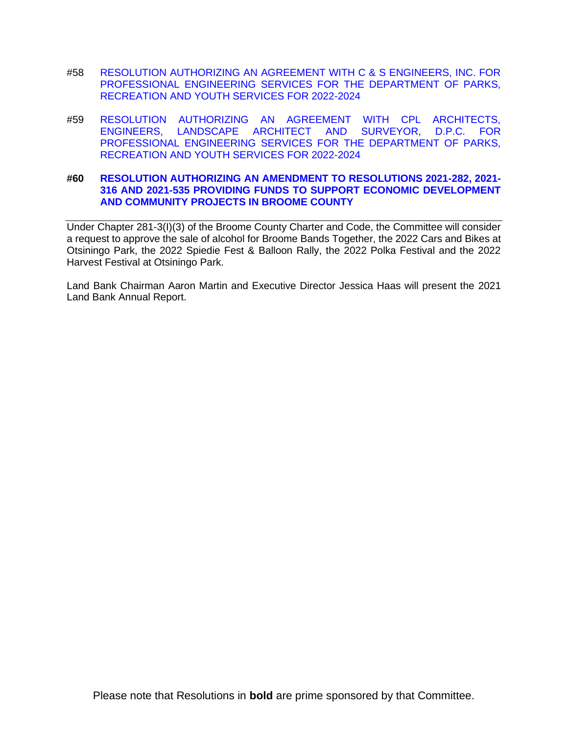- #58 [RESOLUTION AUTHORIZING AN AGREEMENT WITH C & S ENGINEERS, INC. FOR](https://www.gobroomecounty.com/sites/default/files/dept/legis/03172022-58.pdf)  [PROFESSIONAL ENGINEERING SERVICES FOR THE DEPARTMENT OF PARKS,](https://www.gobroomecounty.com/sites/default/files/dept/legis/03172022-58.pdf) [RECREATION AND YOUTH SERVICES FOR 2022-2024](https://www.gobroomecounty.com/sites/default/files/dept/legis/03172022-58.pdf)
- #59 [RESOLUTION AUTHORIZING AN AGREEMENT WITH CPL ARCHITECTS,](https://www.gobroomecounty.com/sites/default/files/dept/legis/03172022-59.pdf)  [ENGINEERS, LANDSCAPE ARCHITECT](https://www.gobroomecounty.com/sites/default/files/dept/legis/03172022-59.pdf) AND SURVEYOR, D.P.C. FOR [PROFESSIONAL ENGINEERING SERVICES FOR THE DEPARTMENT OF PARKS,](https://www.gobroomecounty.com/sites/default/files/dept/legis/03172022-59.pdf)  [RECREATION AND YOUTH SERVICES FOR 2022-2024](https://www.gobroomecounty.com/sites/default/files/dept/legis/03172022-59.pdf)

### **#60 [RESOLUTION AUTHORIZING AN AMENDMENT TO RESOLUTIONS 2021-282, 2021-](https://www.gobroomecounty.com/sites/default/files/dept/legis/03172022-60.pdf) [316 AND 2021-535 PROVIDING FUNDS TO SUPPORT ECONOMIC DEVELOPMENT](https://www.gobroomecounty.com/sites/default/files/dept/legis/03172022-60.pdf)  [AND COMMUNITY PROJECTS IN BROOME COUNTY](https://www.gobroomecounty.com/sites/default/files/dept/legis/03172022-60.pdf)**

Under Chapter 281-3(I)(3) of the Broome County Charter and Code, the Committee will consider a request to approve the sale of alcohol for Broome Bands Together, the 2022 Cars and Bikes at Otsiningo Park, the 2022 Spiedie Fest & Balloon Rally, the 2022 Polka Festival and the 2022 Harvest Festival at Otsiningo Park.

Land Bank Chairman Aaron Martin and Executive Director Jessica Haas will present the 2021 Land Bank Annual Report.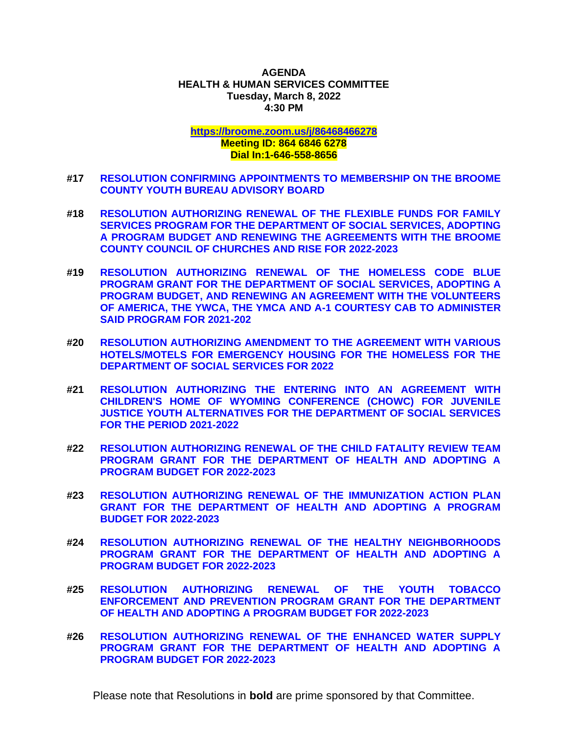## **AGENDA HEALTH & HUMAN SERVICES COMMITTEE Tuesday, March 8, 2022 4:30 PM**

**<https://broome.zoom.us/j/86468466278>**

## **Meeting ID: 864 6846 6278 Dial In:1-646-558-8656**

- **#17 [RESOLUTION CONFIRMING APPOINTMENTS TO MEMBERSHIP ON THE BROOME](https://www.gobroomecounty.com/sites/default/files/dept/legis/03172022-17.pdf)  [COUNTY YOUTH BUREAU ADVISORY BOARD](https://www.gobroomecounty.com/sites/default/files/dept/legis/03172022-17.pdf)**
- **#18 [RESOLUTION AUTHORIZING RENEWAL OF THE FLEXIBLE FUNDS FOR FAMILY](https://www.gobroomecounty.com/sites/default/files/dept/legis/03172022-18.pdf)  [SERVICES PROGRAM FOR THE DEPARTMENT OF SOCIAL SERVICES, ADOPTING](https://www.gobroomecounty.com/sites/default/files/dept/legis/03172022-18.pdf)  [A PROGRAM BUDGET AND RENEWING THE AGREEMENTS WITH THE BROOME](https://www.gobroomecounty.com/sites/default/files/dept/legis/03172022-18.pdf)  [COUNTY COUNCIL OF CHURCHES AND RISE FOR 2022-2023](https://www.gobroomecounty.com/sites/default/files/dept/legis/03172022-18.pdf)**
- **#19 [RESOLUTION AUTHORIZING RENEWAL OF THE HOMELESS CODE BLUE](https://www.gobroomecounty.com/sites/default/files/dept/legis/03172022-19.pdf)  [PROGRAM GRANT FOR THE DEPARTMENT OF SOCIAL SERVICES, ADOPTING A](https://www.gobroomecounty.com/sites/default/files/dept/legis/03172022-19.pdf)  [PROGRAM BUDGET, AND RENEWING AN AGREEMENT WITH THE VOLUNTEERS](https://www.gobroomecounty.com/sites/default/files/dept/legis/03172022-19.pdf)  [OF AMERICA, THE YWCA, THE YMCA AND A-1 COURTESY CAB TO ADMINISTER](https://www.gobroomecounty.com/sites/default/files/dept/legis/03172022-19.pdf)  [SAID PROGRAM FOR 2021-202](https://www.gobroomecounty.com/sites/default/files/dept/legis/03172022-19.pdf)**
- **#20 [RESOLUTION AUTHORIZING AMENDMENT TO THE AGREEMENT WITH VARIOUS](https://www.gobroomecounty.com/sites/default/files/dept/legis/03172022-20.pdf)  [HOTELS/MOTELS FOR EMERGENCY HOUSING FOR THE HOMELESS FOR THE](https://www.gobroomecounty.com/sites/default/files/dept/legis/03172022-20.pdf)  [DEPARTMENT OF SOCIAL SERVICES FOR 2022](https://www.gobroomecounty.com/sites/default/files/dept/legis/03172022-20.pdf)**
- **#21 [RESOLUTION AUTHORIZING THE ENTERING INTO AN AGREEMENT WITH](https://www.gobroomecounty.com/sites/default/files/dept/legis/03172022-21.pdf)  [CHILDREN'S HOME OF WYOMING CONFERENCE \(CHOWC\) FOR JUVENILE](https://www.gobroomecounty.com/sites/default/files/dept/legis/03172022-21.pdf)  [JUSTICE YOUTH ALTERNATIVES FOR THE DEPARTMENT OF SOCIAL SERVICES](https://www.gobroomecounty.com/sites/default/files/dept/legis/03172022-21.pdf)  [FOR THE PERIOD 2021-2022](https://www.gobroomecounty.com/sites/default/files/dept/legis/03172022-21.pdf)**
- **#22 [RESOLUTION AUTHORIZING RENEWAL OF THE CHILD FATALITY REVIEW TEAM](https://www.gobroomecounty.com/sites/default/files/dept/legis/03172022-22.pdf)  [PROGRAM GRANT FOR THE DEPARTMENT OF HEALTH AND ADOPTING A](https://www.gobroomecounty.com/sites/default/files/dept/legis/03172022-22.pdf)  [PROGRAM BUDGET FOR 2022-2023](https://www.gobroomecounty.com/sites/default/files/dept/legis/03172022-22.pdf)**
- **#23 [RESOLUTION AUTHORIZING RENEWAL OF THE IMMUNIZATION ACTION PLAN](https://www.gobroomecounty.com/sites/default/files/dept/legis/03172022-23a.pdf)  [GRANT FOR THE DEPARTMENT OF HEALTH AND ADOPTING A PROGRAM](https://www.gobroomecounty.com/sites/default/files/dept/legis/03172022-23a.pdf)  [BUDGET FOR 2022-2023](https://www.gobroomecounty.com/sites/default/files/dept/legis/03172022-23a.pdf)**
- **#24 [RESOLUTION AUTHORIZING RENEWAL OF THE HEALTHY NEIGHBORHOODS](https://www.gobroomecounty.com/sites/default/files/dept/legis/03172022-24.pdf)  [PROGRAM GRANT FOR THE DEPARTMENT OF HEALTH AND ADOPTING A](https://www.gobroomecounty.com/sites/default/files/dept/legis/03172022-24.pdf)  [PROGRAM BUDGET FOR 2022-2023](https://www.gobroomecounty.com/sites/default/files/dept/legis/03172022-24.pdf)**
- **#25 [RESOLUTION AUTHORIZING RENEWAL OF THE YOUTH TOBACCO](https://www.gobroomecounty.com/sites/default/files/dept/legis/03172022-25.pdf)  [ENFORCEMENT AND PREVENTION PROGRAM GRANT FOR THE DEPARTMENT](https://www.gobroomecounty.com/sites/default/files/dept/legis/03172022-25.pdf)  [OF HEALTH AND ADOPTING A PROGRAM BUDGET FOR 2022-2023](https://www.gobroomecounty.com/sites/default/files/dept/legis/03172022-25.pdf)**
- **#26 [RESOLUTION AUTHORIZING RENEWAL OF THE ENHANCED WATER SUPPLY](https://www.gobroomecounty.com/sites/default/files/dept/legis/03172022-26a.pdf)  [PROGRAM GRANT FOR THE DEPARTMENT OF HEALTH AND ADOPTING A](https://www.gobroomecounty.com/sites/default/files/dept/legis/03172022-26a.pdf)  [PROGRAM BUDGET FOR 2022-2023](https://www.gobroomecounty.com/sites/default/files/dept/legis/03172022-26a.pdf)**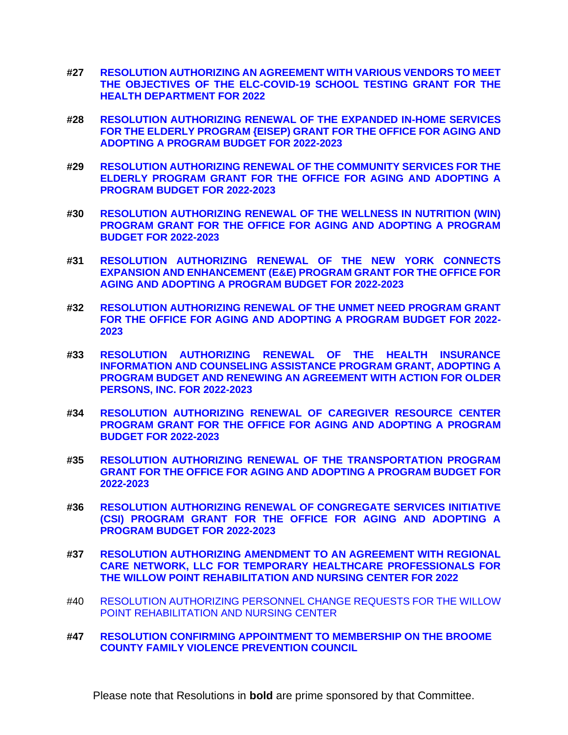- **#27 [RESOLUTION AUTHORIZING AN AGREEMENT WITH VARIOUS VENDORS TO MEET](https://www.gobroomecounty.com/sites/default/files/dept/legis/03172022-27a.pdf)  [THE OBJECTIVES OF THE ELC-COVID-19 SCHOOL TESTING GRANT FOR THE](https://www.gobroomecounty.com/sites/default/files/dept/legis/03172022-27a.pdf)  [HEALTH DEPARTMENT FOR 2022](https://www.gobroomecounty.com/sites/default/files/dept/legis/03172022-27a.pdf)**
- **#28 [RESOLUTION AUTHORIZING RENEWAL OF THE EXPANDED IN-HOME SERVICES](https://www.gobroomecounty.com/sites/default/files/dept/legis/03172022-28.pdf)  FOR THE ELDERLY [PROGRAM {EISEP\) GRANT FOR THE OFFICE FOR AGING AND](https://www.gobroomecounty.com/sites/default/files/dept/legis/03172022-28.pdf)  [ADOPTING A PROGRAM BUDGET FOR 2022-2023](https://www.gobroomecounty.com/sites/default/files/dept/legis/03172022-28.pdf)**
- **#29 [RESOLUTION AUTHORIZING RENEWAL OF THE COMMUNITY SERVICES FOR THE](https://www.gobroomecounty.com/sites/default/files/dept/legis/03172022-29.pdf)  [ELDERLY PROGRAM GRANT FOR THE OFFICE FOR AGING AND ADOPTING A](https://www.gobroomecounty.com/sites/default/files/dept/legis/03172022-29.pdf)  [PROGRAM BUDGET FOR 2022-2023](https://www.gobroomecounty.com/sites/default/files/dept/legis/03172022-29.pdf)**
- **#30 [RESOLUTION AUTHORIZING RENEWAL OF THE WELLNESS IN NUTRITION \(WIN\)](https://www.gobroomecounty.com/sites/default/files/dept/legis/03172022-30a.pdf) [PROGRAM GRANT FOR THE OFFICE FOR AGING AND ADOPTING A PROGRAM](https://www.gobroomecounty.com/sites/default/files/dept/legis/03172022-30a.pdf)  [BUDGET FOR 2022-2023](https://www.gobroomecounty.com/sites/default/files/dept/legis/03172022-30a.pdf)**
- **#31 [RESOLUTION AUTHORIZING RENEWAL OF THE NEW YORK CONNECTS](https://www.gobroomecounty.com/sites/default/files/dept/legis/03172022-31.pdf)  [EXPANSION AND ENHANCEMENT \(E&E\) PROGRAM GRANT FOR THE OFFICE FOR](https://www.gobroomecounty.com/sites/default/files/dept/legis/03172022-31.pdf)  [AGING AND ADOPTING A PROGRAM BUDGET FOR 2022-2023](https://www.gobroomecounty.com/sites/default/files/dept/legis/03172022-31.pdf)**
- **#32 [RESOLUTION AUTHORIZING RENEWAL OF THE UNMET NEED PROGRAM GRANT](https://www.gobroomecounty.com/sites/default/files/dept/legis/03172022-32.pdf)  [FOR THE OFFICE FOR AGING AND ADOPTING A PROGRAM BUDGET FOR 2022-](https://www.gobroomecounty.com/sites/default/files/dept/legis/03172022-32.pdf) [2023](https://www.gobroomecounty.com/sites/default/files/dept/legis/03172022-32.pdf)**
- **#33 [RESOLUTION AUTHORIZING RENEWAL OF THE HEALTH INSURANCE](https://www.gobroomecounty.com/sites/default/files/dept/legis/03172022-33.pdf)  [INFORMATION AND COUNSELING ASSISTANCE PROGRAM GRANT, ADOPTING A](https://www.gobroomecounty.com/sites/default/files/dept/legis/03172022-33.pdf)  [PROGRAM BUDGET AND RENEWING AN AGREEMENT WITH ACTION FOR](https://www.gobroomecounty.com/sites/default/files/dept/legis/03172022-33.pdf) OLDER [PERSONS, INC. FOR 2022-2023](https://www.gobroomecounty.com/sites/default/files/dept/legis/03172022-33.pdf)**
- **#34 [RESOLUTION AUTHORIZING RENEWAL OF CAREGIVER RESOURCE CENTER](https://www.gobroomecounty.com/sites/default/files/dept/legis/03172022-34.pdf)  [PROGRAM GRANT FOR THE OFFICE FOR AGING AND ADOPTING A PROGRAM](https://www.gobroomecounty.com/sites/default/files/dept/legis/03172022-34.pdf)  [BUDGET FOR 2022-2023](https://www.gobroomecounty.com/sites/default/files/dept/legis/03172022-34.pdf)**
- **#35 [RESOLUTION AUTHORIZING RENEWAL OF THE TRANSPORTATION PROGRAM](https://www.gobroomecounty.com/sites/default/files/dept/legis/03172022-35.pdf)  [GRANT FOR THE OFFICE FOR AGING AND ADOPTING A PROGRAM BUDGET FOR](https://www.gobroomecounty.com/sites/default/files/dept/legis/03172022-35.pdf)  [2022-2023](https://www.gobroomecounty.com/sites/default/files/dept/legis/03172022-35.pdf)**
- **#36 [RESOLUTION AUTHORIZING RENEWAL OF CONGREGATE SERVICES INITIATIVE](https://www.gobroomecounty.com/sites/default/files/dept/legis/03172022-36.pdf)  [\(CSI\) PROGRAM GRANT FOR THE OFFICE FOR AGING AND ADOPTING A](https://www.gobroomecounty.com/sites/default/files/dept/legis/03172022-36.pdf)  [PROGRAM BUDGET FOR 2022-2023](https://www.gobroomecounty.com/sites/default/files/dept/legis/03172022-36.pdf)**
- **#37 [RESOLUTION AUTHORIZING AMENDMENT TO AN AGREEMENT WITH REGIONAL](https://www.gobroomecounty.com/sites/default/files/dept/legis/03172022-37.pdf)  [CARE NETWORK, LLC FOR TEMPORARY HEALTHCARE PROFESSIONALS FOR](https://www.gobroomecounty.com/sites/default/files/dept/legis/03172022-37.pdf)  [THE WILLOW POINT REHABILITATION AND NURSING CENTER FOR 2022](https://www.gobroomecounty.com/sites/default/files/dept/legis/03172022-37.pdf)**
- #40 [RESOLUTION AUTHORIZING PERSONNEL CHANGE REQUESTS FOR THE WILLOW](https://www.gobroomecounty.com/sites/default/files/dept/legis/03172022-40.pdf)  [POINT REHABILITATION AND NURSING CENTER](https://www.gobroomecounty.com/sites/default/files/dept/legis/03172022-40.pdf)
- **#47 [RESOLUTION CONFIRMING APPOINTMENT TO MEMBERSHIP ON THE BROOME](https://www.gobroomecounty.com/sites/default/files/dept/legis/03172022-47.pdf)  [COUNTY FAMILY VIOLENCE PREVENTION COUNCIL](https://www.gobroomecounty.com/sites/default/files/dept/legis/03172022-47.pdf)**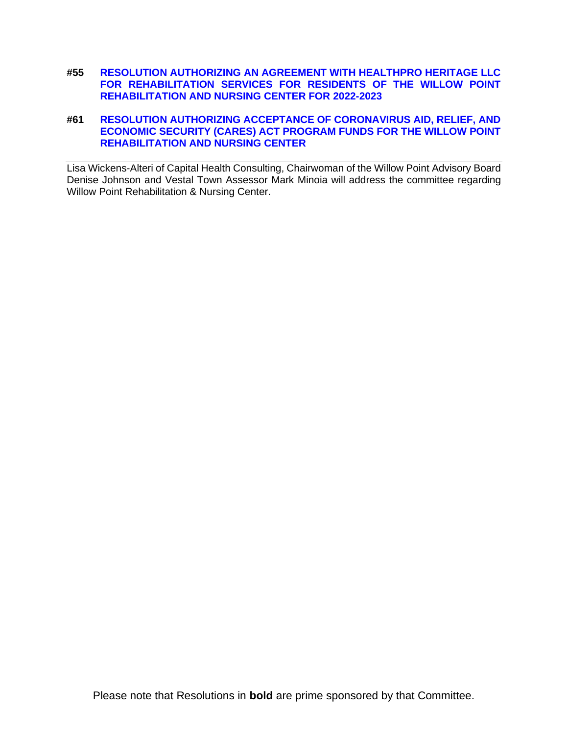**#55 [RESOLUTION AUTHORIZING AN AGREEMENT WITH HEALTHPRO HERITAGE LLC](https://www.gobroomecounty.com/sites/default/files/dept/legis/03172022-55.pdf)  [FOR REHABILITATION SERVICES FOR RESIDENTS OF THE WILLOW POINT](https://www.gobroomecounty.com/sites/default/files/dept/legis/03172022-55.pdf)  [REHABILITATION AND NURSING CENTER FOR 2022-2023](https://www.gobroomecounty.com/sites/default/files/dept/legis/03172022-55.pdf)**

## **#61 [RESOLUTION AUTHORIZING ACCEPTANCE OF CORONAVIRUS AID, RELIEF, AND](https://www.gobroomecounty.com/sites/default/files/dept/legis/03172022-61.pdf)  [ECONOMIC SECURITY \(CARES\) ACT PROGRAM FUNDS FOR THE WILLOW POINT](https://www.gobroomecounty.com/sites/default/files/dept/legis/03172022-61.pdf)  [REHABILITATION AND NURSING CENTER](https://www.gobroomecounty.com/sites/default/files/dept/legis/03172022-61.pdf)**

Lisa Wickens-Alteri of Capital Health Consulting, Chairwoman of the Willow Point Advisory Board Denise Johnson and Vestal Town Assessor Mark Minoia will address the committee regarding Willow Point Rehabilitation & Nursing Center.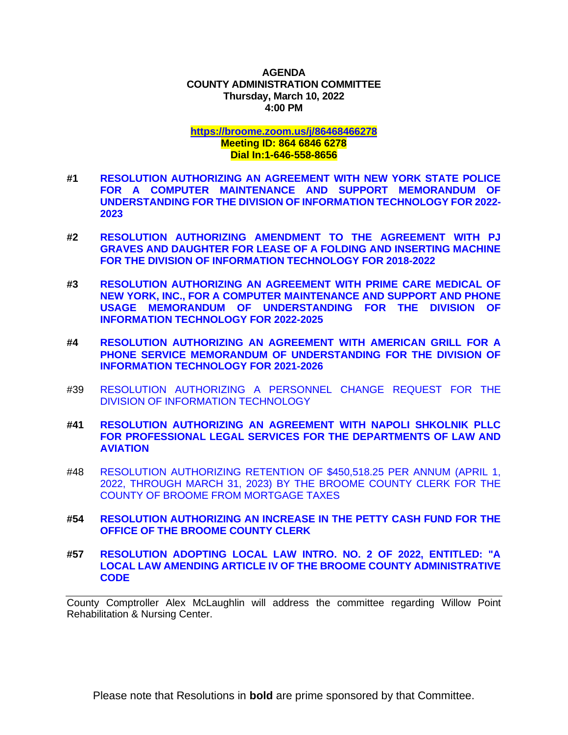### **AGENDA COUNTY ADMINISTRATION COMMITTEE Thursday, March 10, 2022 4:00 PM**

#### **<https://broome.zoom.us/j/86468466278> Meeting ID: 864 6846 6278 Dial In:1-646-558-8656**

- **#1 [RESOLUTION AUTHORIZING AN AGREEMENT WITH NEW YORK STATE POLICE](https://www.gobroomecounty.com/sites/default/files/dept/legis/03172022-01.pdf)  [FOR A COMPUTER MAINTENANCE AND SUPPORT MEMORANDUM OF](https://www.gobroomecounty.com/sites/default/files/dept/legis/03172022-01.pdf)  [UNDERSTANDING FOR THE DIVISION OF INFORMATION TECHNOLOGY FOR 2022-](https://www.gobroomecounty.com/sites/default/files/dept/legis/03172022-01.pdf) [2023](https://www.gobroomecounty.com/sites/default/files/dept/legis/03172022-01.pdf)**
- **#2 [RESOLUTION AUTHORIZING AMENDMENT TO THE AGREEMENT WITH PJ](https://www.gobroomecounty.com/sites/default/files/dept/legis/03172022-02.pdf)  [GRAVES AND DAUGHTER FOR LEASE OF A FOLDING AND INSERTING MACHINE](https://www.gobroomecounty.com/sites/default/files/dept/legis/03172022-02.pdf)  [FOR THE DIVISION OF INFORMATION TECHNOLOGY FOR 2018-2022](https://www.gobroomecounty.com/sites/default/files/dept/legis/03172022-02.pdf)**
- **#3 [RESOLUTION AUTHORIZING AN AGREEMENT WITH PRIME CARE MEDICAL OF](https://www.gobroomecounty.com/sites/default/files/dept/legis/03172022-03.pdf)  [NEW YORK, INC., FOR A COMPUTER MAINTENANCE AND SUPPORT AND PHONE](https://www.gobroomecounty.com/sites/default/files/dept/legis/03172022-03.pdf)  [USAGE MEMORANDUM OF UNDERSTANDING FOR THE DIVISION OF](https://www.gobroomecounty.com/sites/default/files/dept/legis/03172022-03.pdf)  [INFORMATION TECHNOLOGY FOR 2022-2025](https://www.gobroomecounty.com/sites/default/files/dept/legis/03172022-03.pdf)**
- **#4 [RESOLUTION AUTHORIZING AN AGREEMENT WITH AMERICAN GRILL FOR A](https://www.gobroomecounty.com/sites/default/files/dept/legis/03172022-04.pdf)  [PHONE SERVICE MEMORANDUM OF UNDERSTANDING FOR THE DIVISION OF](https://www.gobroomecounty.com/sites/default/files/dept/legis/03172022-04.pdf)  [INFORMATION TECHNOLOGY FOR 2021-2026](https://www.gobroomecounty.com/sites/default/files/dept/legis/03172022-04.pdf)**
- #39 [RESOLUTION AUTHORIZING A PERSONNEL CHANGE REQUEST FOR THE](https://www.gobroomecounty.com/sites/default/files/dept/legis/03172022-39.pdf)  [DIVISION OF INFORMATION TECHNOLOGY](https://www.gobroomecounty.com/sites/default/files/dept/legis/03172022-39.pdf)
- **#41 [RESOLUTION AUTHORIZING AN AGREEMENT WITH NAPOLI SHKOLNIK PLLC](https://www.gobroomecounty.com/sites/default/files/dept/legis/03172022-41.pdf)  [FOR PROFESSIONAL LEGAL SERVICES FOR THE DEPARTMENTS OF LAW AND](https://www.gobroomecounty.com/sites/default/files/dept/legis/03172022-41.pdf)  [AVIATION](https://www.gobroomecounty.com/sites/default/files/dept/legis/03172022-41.pdf)**
- #48 [RESOLUTION AUTHORIZING RETENTION OF \\$450,518.25 PER ANNUM \(APRIL 1,](https://www.gobroomecounty.com/sites/default/files/dept/legis/03172022-48.pdf)  [2022, THROUGH MARCH 31, 2023\) BY THE BROOME COUNTY CLERK FOR THE](https://www.gobroomecounty.com/sites/default/files/dept/legis/03172022-48.pdf)  [COUNTY OF BROOME FROM MORTGAGE TAXES](https://www.gobroomecounty.com/sites/default/files/dept/legis/03172022-48.pdf)
- **#54 [RESOLUTION AUTHORIZING AN INCREASE IN THE PETTY CASH FUND FOR THE](https://www.gobroomecounty.com/sites/default/files/dept/legis/03172022-54.pdf)  [OFFICE OF THE BROOME COUNTY CLERK](https://www.gobroomecounty.com/sites/default/files/dept/legis/03172022-54.pdf)**
- **#57 [RESOLUTION ADOPTING LOCAL LAW INTRO. NO. 2 OF 2022, ENTITLED: "A](https://www.gobroomecounty.com/sites/default/files/dept/legis/03172022-57.pdf)  [LOCAL LAW AMENDING ARTICLE IV OF THE BROOME COUNTY ADMINISTRATIVE](https://www.gobroomecounty.com/sites/default/files/dept/legis/03172022-57.pdf)  [CODE](https://www.gobroomecounty.com/sites/default/files/dept/legis/03172022-57.pdf)**

County Comptroller Alex McLaughlin will address the committee regarding Willow Point Rehabilitation & Nursing Center.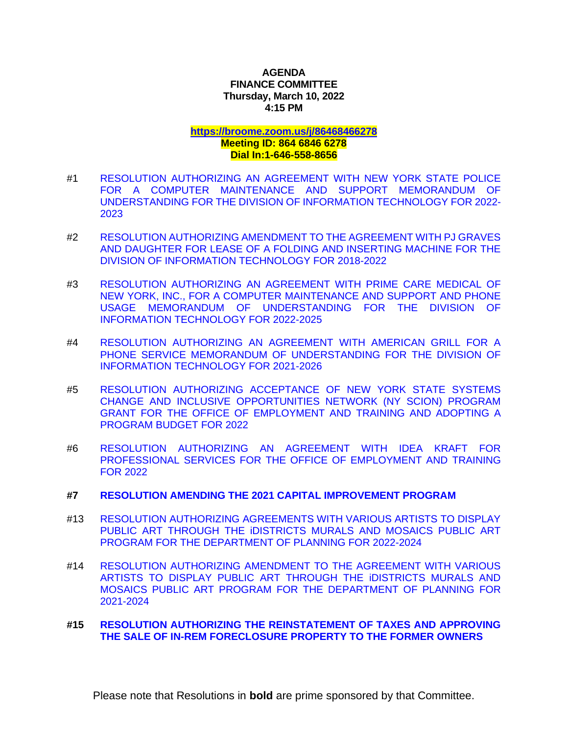## **AGENDA FINANCE COMMITTEE Thursday, March 10, 2022 4:15 PM**

# **<https://broome.zoom.us/j/86468466278>**

### **Meeting ID: 864 6846 6278 Dial In:1-646-558-8656**

- #1 [RESOLUTION AUTHORIZING AN AGREEMENT WITH NEW YORK STATE POLICE](https://www.gobroomecounty.com/sites/default/files/dept/legis/03172022-01.pdf)  [FOR A COMPUTER MAINTENANCE AND SUPPORT MEMORANDUM OF](https://www.gobroomecounty.com/sites/default/files/dept/legis/03172022-01.pdf)  [UNDERSTANDING FOR THE DIVISION OF INFORMATION TECHNOLOGY FOR 2022-](https://www.gobroomecounty.com/sites/default/files/dept/legis/03172022-01.pdf) [2023](https://www.gobroomecounty.com/sites/default/files/dept/legis/03172022-01.pdf)
- #2 [RESOLUTION AUTHORIZING AMENDMENT TO THE AGREEMENT WITH PJ GRAVES](https://www.gobroomecounty.com/sites/default/files/dept/legis/03172022-02.pdf)  [AND DAUGHTER FOR LEASE OF A FOLDING AND INSERTING MACHINE FOR THE](https://www.gobroomecounty.com/sites/default/files/dept/legis/03172022-02.pdf)  [DIVISION OF INFORMATION TECHNOLOGY FOR 2018-2022](https://www.gobroomecounty.com/sites/default/files/dept/legis/03172022-02.pdf)
- #3 [RESOLUTION AUTHORIZING AN AGREEMENT WITH PRIME CARE MEDICAL OF](https://www.gobroomecounty.com/sites/default/files/dept/legis/03172022-03.pdf)  [NEW YORK, INC., FOR A COMPUTER MAINTENANCE AND SUPPORT AND PHONE](https://www.gobroomecounty.com/sites/default/files/dept/legis/03172022-03.pdf)  [USAGE MEMORANDUM OF UNDERSTANDING FOR THE DIVISION OF](https://www.gobroomecounty.com/sites/default/files/dept/legis/03172022-03.pdf)  [INFORMATION TECHNOLOGY FOR 2022-2025](https://www.gobroomecounty.com/sites/default/files/dept/legis/03172022-03.pdf)
- #4 [RESOLUTION AUTHORIZING AN AGREEMENT WITH AMERICAN GRILL FOR A](https://www.gobroomecounty.com/sites/default/files/dept/legis/03172022-04.pdf)  [PHONE SERVICE MEMORANDUM OF UNDERSTANDING FOR THE DIVISION OF](https://www.gobroomecounty.com/sites/default/files/dept/legis/03172022-04.pdf)  [INFORMATION TECHNOLOGY FOR 2021-2026](https://www.gobroomecounty.com/sites/default/files/dept/legis/03172022-04.pdf)
- #5 [RESOLUTION AUTHORIZING ACCEPTANCE OF NEW YORK STATE SYSTEMS](https://www.gobroomecounty.com/sites/default/files/dept/legis/03172022-05.pdf)  [CHANGE AND INCLUSIVE OPPORTUNITIES NETWORK \(NY SCION\) PROGRAM](https://www.gobroomecounty.com/sites/default/files/dept/legis/03172022-05.pdf)  [GRANT FOR THE OFFICE OF EMPLOYMENT AND TRAINING AND ADOPTING A](https://www.gobroomecounty.com/sites/default/files/dept/legis/03172022-05.pdf)  [PROGRAM BUDGET FOR 2022](https://www.gobroomecounty.com/sites/default/files/dept/legis/03172022-05.pdf)
- #6 [RESOLUTION AUTHORIZING AN AGREEMENT WITH IDEA KRAFT FOR](https://www.gobroomecounty.com/sites/default/files/dept/legis/03172022-06.pdf)  [PROFESSIONAL SERVICES FOR THE OFFICE OF EMPLOYMENT AND](https://www.gobroomecounty.com/sites/default/files/dept/legis/03172022-06.pdf) TRAINING [FOR 2022](https://www.gobroomecounty.com/sites/default/files/dept/legis/03172022-06.pdf)

### **#7 [RESOLUTION AMENDING THE 2021 CAPITAL IMPROVEMENT PROGRAM](https://www.gobroomecounty.com/sites/default/files/dept/legis/03172022-07.pdf)**

- #13 [RESOLUTION AUTHORIZING AGREEMENTS WITH VARIOUS ARTISTS TO DISPLAY](https://www.gobroomecounty.com/sites/default/files/dept/legis/03172022-13.pdf)  [PUBLIC ART THROUGH THE iDISTRICTS MURALS AND MOSAICS PUBLIC ART](https://www.gobroomecounty.com/sites/default/files/dept/legis/03172022-13.pdf)  [PROGRAM FOR THE DEPARTMENT OF PLANNING FOR 2022-2024](https://www.gobroomecounty.com/sites/default/files/dept/legis/03172022-13.pdf)
- #14 [RESOLUTION AUTHORIZING AMENDMENT TO THE AGREEMENT WITH VARIOUS](https://www.gobroomecounty.com/sites/default/files/dept/legis/03172022-14.pdf)  [ARTISTS TO DISPLAY PUBLIC ART THROUGH THE iDISTRICTS MURALS AND](https://www.gobroomecounty.com/sites/default/files/dept/legis/03172022-14.pdf)  [MOSAICS PUBLIC ART PROGRAM FOR THE DEPARTMENT OF PLANNING FOR](https://www.gobroomecounty.com/sites/default/files/dept/legis/03172022-14.pdf)  [2021-2024](https://www.gobroomecounty.com/sites/default/files/dept/legis/03172022-14.pdf)

## **#15 [RESOLUTION AUTHORIZING THE REINSTATEMENT OF TAXES AND APPROVING](https://www.gobroomecounty.com/sites/default/files/dept/legis/03172022-15.pdf)  [THE SALE OF IN-REM FORECLOSURE PROPERTY TO THE FORMER OWNERS](https://www.gobroomecounty.com/sites/default/files/dept/legis/03172022-15.pdf)**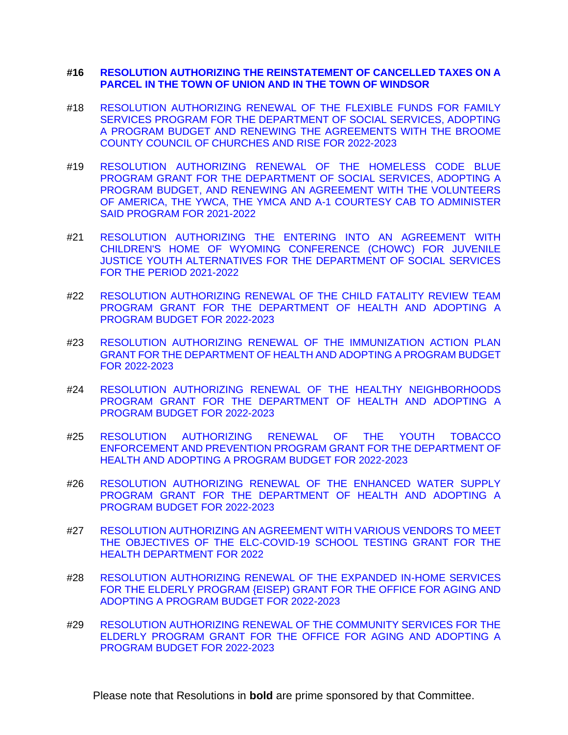## **#16 [RESOLUTION AUTHORIZING THE REINSTATEMENT OF CANCELLED TAXES ON A](https://www.gobroomecounty.com/sites/default/files/dept/legis/03172022-16.pdf)  [PARCEL IN THE TOWN OF UNION AND IN THE TOWN OF WINDSOR](https://www.gobroomecounty.com/sites/default/files/dept/legis/03172022-16.pdf)**

- #18 [RESOLUTION AUTHORIZING RENEWAL OF THE FLEXIBLE FUNDS FOR FAMILY](https://www.gobroomecounty.com/sites/default/files/dept/legis/03172022-18.pdf)  [SERVICES PROGRAM FOR THE DEPARTMENT OF SOCIAL SERVICES, ADOPTING](https://www.gobroomecounty.com/sites/default/files/dept/legis/03172022-18.pdf)  [A PROGRAM BUDGET AND RENEWING THE AGREEMENTS WITH THE BROOME](https://www.gobroomecounty.com/sites/default/files/dept/legis/03172022-18.pdf)  [COUNTY COUNCIL OF CHURCHES AND RISE FOR 2022-2023](https://www.gobroomecounty.com/sites/default/files/dept/legis/03172022-18.pdf)
- #19 [RESOLUTION AUTHORIZING RENEWAL OF THE HOMELESS CODE BLUE](https://www.gobroomecounty.com/sites/default/files/dept/legis/03172022-19.pdf)  [PROGRAM GRANT FOR THE DEPARTMENT OF SOCIAL SERVICES, ADOPTING A](https://www.gobroomecounty.com/sites/default/files/dept/legis/03172022-19.pdf)  [PROGRAM BUDGET, AND RENEWING AN AGREEMENT WITH THE VOLUNTEERS](https://www.gobroomecounty.com/sites/default/files/dept/legis/03172022-19.pdf)  [OF AMERICA, THE YWCA, THE YMCA AND A-1 COURTESY CAB TO ADMINISTER](https://www.gobroomecounty.com/sites/default/files/dept/legis/03172022-19.pdf)  [SAID PROGRAM FOR 2021-2022](https://www.gobroomecounty.com/sites/default/files/dept/legis/03172022-19.pdf)
- #21 [RESOLUTION AUTHORIZING THE ENTERING INTO AN AGREEMENT WITH](https://www.gobroomecounty.com/sites/default/files/dept/legis/03172022-21.pdf)  [CHILDREN'S HOME OF WYOMING CONFERENCE \(CHOWC\) FOR JUVENILE](https://www.gobroomecounty.com/sites/default/files/dept/legis/03172022-21.pdf)  [JUSTICE YOUTH ALTERNATIVES FOR THE DEPARTMENT OF SOCIAL SERVICES](https://www.gobroomecounty.com/sites/default/files/dept/legis/03172022-21.pdf)  [FOR THE PERIOD 2021-2022](https://www.gobroomecounty.com/sites/default/files/dept/legis/03172022-21.pdf)
- #22 [RESOLUTION AUTHORIZING RENEWAL OF THE CHILD FATALITY REVIEW TEAM](https://www.gobroomecounty.com/sites/default/files/dept/legis/03172022-22.pdf)  [PROGRAM GRANT FOR THE DEPARTMENT OF HEALTH AND ADOPTING A](https://www.gobroomecounty.com/sites/default/files/dept/legis/03172022-22.pdf)  [PROGRAM BUDGET FOR 2022-2023](https://www.gobroomecounty.com/sites/default/files/dept/legis/03172022-22.pdf)
- #23 [RESOLUTION AUTHORIZING RENEWAL OF THE IMMUNIZATION ACTION PLAN](https://www.gobroomecounty.com/sites/default/files/dept/legis/03172022-23a.pdf)  [GRANT FOR THE DEPARTMENT OF HEALTH AND ADOPTING A PROGRAM BUDGET](https://www.gobroomecounty.com/sites/default/files/dept/legis/03172022-23a.pdf)  [FOR 2022-2023](https://www.gobroomecounty.com/sites/default/files/dept/legis/03172022-23a.pdf)
- #24 [RESOLUTION AUTHORIZING RENEWAL OF THE HEALTHY NEIGHBORHOODS](https://www.gobroomecounty.com/sites/default/files/dept/legis/03172022-24.pdf)  [PROGRAM GRANT FOR THE DEPARTMENT](https://www.gobroomecounty.com/sites/default/files/dept/legis/03172022-24.pdf) OF HEALTH AND ADOPTING A [PROGRAM BUDGET FOR 2022-2023](https://www.gobroomecounty.com/sites/default/files/dept/legis/03172022-24.pdf)
- #25 [RESOLUTION AUTHORIZING RENEWAL OF THE YOUTH TOBACCO](https://www.gobroomecounty.com/sites/default/files/dept/legis/03172022-25.pdf)  [ENFORCEMENT AND PREVENTION PROGRAM GRANT FOR THE DEPARTMENT OF](https://www.gobroomecounty.com/sites/default/files/dept/legis/03172022-25.pdf)  [HEALTH AND ADOPTING A PROGRAM BUDGET FOR 2022-2023](https://www.gobroomecounty.com/sites/default/files/dept/legis/03172022-25.pdf)
- #26 [RESOLUTION AUTHORIZING RENEWAL OF THE ENHANCED WATER SUPPLY](https://www.gobroomecounty.com/sites/default/files/dept/legis/03172022-26a.pdf)  [PROGRAM GRANT FOR THE DEPARTMENT OF HEALTH AND ADOPTING A](https://www.gobroomecounty.com/sites/default/files/dept/legis/03172022-26a.pdf)  [PROGRAM BUDGET FOR 2022-2023](https://www.gobroomecounty.com/sites/default/files/dept/legis/03172022-26a.pdf)
- #27 [RESOLUTION AUTHORIZING AN AGREEMENT WITH VARIOUS VENDORS TO MEET](https://www.gobroomecounty.com/sites/default/files/dept/legis/03172022-27a.pdf)  [THE OBJECTIVES OF THE ELC-COVID-19 SCHOOL TESTING GRANT FOR THE](https://www.gobroomecounty.com/sites/default/files/dept/legis/03172022-27a.pdf)  [HEALTH DEPARTMENT FOR 2022](https://www.gobroomecounty.com/sites/default/files/dept/legis/03172022-27a.pdf)
- #28 [RESOLUTION AUTHORIZING RENEWAL OF THE EXPANDED IN-HOME SERVICES](https://www.gobroomecounty.com/sites/default/files/dept/legis/03172022-28.pdf)  FOR THE ELDERLY [PROGRAM {EISEP\) GRANT FOR THE OFFICE FOR AGING AND](https://www.gobroomecounty.com/sites/default/files/dept/legis/03172022-28.pdf)  [ADOPTING A PROGRAM BUDGET FOR 2022-2023](https://www.gobroomecounty.com/sites/default/files/dept/legis/03172022-28.pdf)
- #29 [RESOLUTION AUTHORIZING RENEWAL OF THE COMMUNITY SERVICES FOR THE](https://www.gobroomecounty.com/sites/default/files/dept/legis/03172022-29.pdf)  [ELDERLY PROGRAM GRANT FOR THE OFFICE FOR AGING AND ADOPTING A](https://www.gobroomecounty.com/sites/default/files/dept/legis/03172022-29.pdf)  PROGRAM [BUDGET FOR 2022-2023](https://www.gobroomecounty.com/sites/default/files/dept/legis/03172022-29.pdf)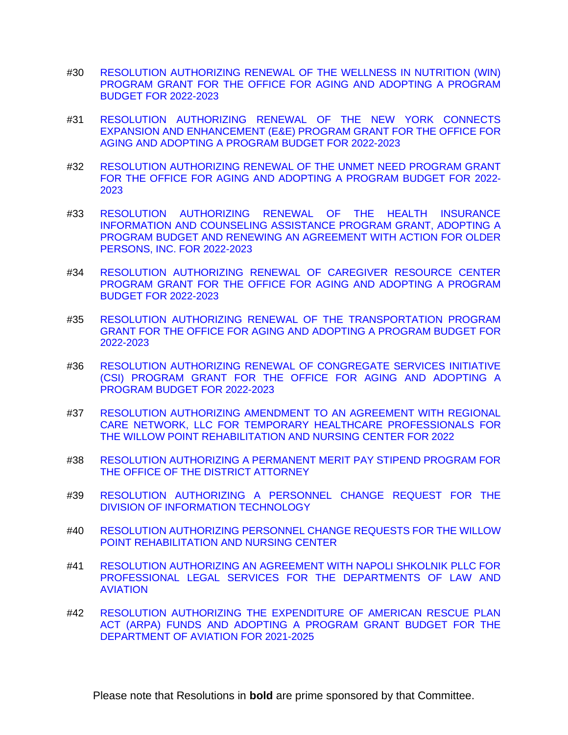- #30 [RESOLUTION AUTHORIZING RENEWAL OF THE WELLNESS IN NUTRITION \(WIN\)](https://www.gobroomecounty.com/sites/default/files/dept/legis/03172022-30a.pdf)  [PROGRAM GRANT FOR THE OFFICE FOR AGING AND ADOPTING A PROGRAM](https://www.gobroomecounty.com/sites/default/files/dept/legis/03172022-30a.pdf)  BUDGET [FOR 2022-2023](https://www.gobroomecounty.com/sites/default/files/dept/legis/03172022-30a.pdf)
- #31 [RESOLUTION AUTHORIZING RENEWAL OF THE NEW YORK CONNECTS](https://www.gobroomecounty.com/sites/default/files/dept/legis/03172022-31.pdf)  [EXPANSION AND ENHANCEMENT \(E&E\) PROGRAM GRANT FOR THE OFFICE FOR](https://www.gobroomecounty.com/sites/default/files/dept/legis/03172022-31.pdf)  [AGING AND ADOPTING A PROGRAM BUDGET FOR 2022-2023](https://www.gobroomecounty.com/sites/default/files/dept/legis/03172022-31.pdf)
- #32 [RESOLUTION AUTHORIZING RENEWAL OF THE UNMET NEED PROGRAM GRANT](https://www.gobroomecounty.com/sites/default/files/dept/legis/03172022-32.pdf)  [FOR THE OFFICE FOR AGING AND ADOPTING A PROGRAM BUDGET FOR 2022-](https://www.gobroomecounty.com/sites/default/files/dept/legis/03172022-32.pdf) [2023](https://www.gobroomecounty.com/sites/default/files/dept/legis/03172022-32.pdf)
- #33 [RESOLUTION AUTHORIZING RENEWAL OF THE HEALTH INSURANCE](https://www.gobroomecounty.com/sites/default/files/dept/legis/03172022-33.pdf)  [INFORMATION AND COUNSELING ASSISTANCE PROGRAM GRANT, ADOPTING A](https://www.gobroomecounty.com/sites/default/files/dept/legis/03172022-33.pdf)  [PROGRAM BUDGET AND RENEWING AN AGREEMENT WITH ACTION FOR OLDER](https://www.gobroomecounty.com/sites/default/files/dept/legis/03172022-33.pdf)  [PERSONS, INC. FOR 2022-2023](https://www.gobroomecounty.com/sites/default/files/dept/legis/03172022-33.pdf)
- #34 [RESOLUTION AUTHORIZING RENEWAL OF CAREGIVER RESOURCE CENTER](https://www.gobroomecounty.com/sites/default/files/dept/legis/03172022-34.pdf)  [PROGRAM GRANT FOR THE OFFICE FOR AGING AND ADOPTING A PROGRAM](https://www.gobroomecounty.com/sites/default/files/dept/legis/03172022-34.pdf)  [BUDGET FOR 2022-2023](https://www.gobroomecounty.com/sites/default/files/dept/legis/03172022-34.pdf)
- #35 [RESOLUTION AUTHORIZING RENEWAL OF THE TRANSPORTATION PROGRAM](https://www.gobroomecounty.com/sites/default/files/dept/legis/03172022-35.pdf)  [GRANT FOR THE OFFICE FOR AGING AND ADOPTING A PROGRAM BUDGET FOR](https://www.gobroomecounty.com/sites/default/files/dept/legis/03172022-35.pdf)  [2022-2023](https://www.gobroomecounty.com/sites/default/files/dept/legis/03172022-35.pdf)
- #36 [RESOLUTION AUTHORIZING RENEWAL OF CONGREGATE SERVICES INITIATIVE](https://www.gobroomecounty.com/sites/default/files/dept/legis/03172022-36.pdf)  [\(CSI\) PROGRAM GRANT FOR THE OFFICE FOR AGING AND ADOPTING A](https://www.gobroomecounty.com/sites/default/files/dept/legis/03172022-36.pdf)  [PROGRAM BUDGET FOR 2022-2023](https://www.gobroomecounty.com/sites/default/files/dept/legis/03172022-36.pdf)
- #37 [RESOLUTION AUTHORIZING AMENDMENT TO AN AGREEMENT WITH REGIONAL](https://www.gobroomecounty.com/sites/default/files/dept/legis/03172022-37.pdf)  [CARE NETWORK, LLC FOR TEMPORARY HEALTHCARE PROFESSIONALS FOR](https://www.gobroomecounty.com/sites/default/files/dept/legis/03172022-37.pdf)  [THE WILLOW POINT REHABILITATION AND NURSING CENTER FOR 2022](https://www.gobroomecounty.com/sites/default/files/dept/legis/03172022-37.pdf)
- #38 [RESOLUTION AUTHORIZING A PERMANENT MERIT PAY STIPEND PROGRAM FOR](https://www.gobroomecounty.com/sites/default/files/dept/legis/03172022-38.pdf)  [THE OFFICE OF THE DISTRICT ATTORNEY](https://www.gobroomecounty.com/sites/default/files/dept/legis/03172022-38.pdf)
- #39 [RESOLUTION AUTHORIZING A PERSONNEL CHANGE REQUEST FOR THE](https://www.gobroomecounty.com/sites/default/files/dept/legis/03172022-39.pdf)  [DIVISION OF INFORMATION TECHNOLOGY](https://www.gobroomecounty.com/sites/default/files/dept/legis/03172022-39.pdf)
- #40 [RESOLUTION AUTHORIZING PERSONNEL CHANGE REQUESTS FOR THE WILLOW](https://www.gobroomecounty.com/sites/default/files/dept/legis/03172022-40.pdf)  [POINT REHABILITATION AND NURSING CENTER](https://www.gobroomecounty.com/sites/default/files/dept/legis/03172022-40.pdf)
- #41 [RESOLUTION AUTHORIZING AN AGREEMENT WITH NAPOLI SHKOLNIK PLLC FOR](https://www.gobroomecounty.com/sites/default/files/dept/legis/03172022-41.pdf)  [PROFESSIONAL LEGAL SERVICES FOR THE DEPARTMENTS OF LAW AND](https://www.gobroomecounty.com/sites/default/files/dept/legis/03172022-41.pdf)  [AVIATION](https://www.gobroomecounty.com/sites/default/files/dept/legis/03172022-41.pdf)
- #42 [RESOLUTION AUTHORIZING THE EXPENDITURE OF AMERICAN RESCUE PLAN](https://www.gobroomecounty.com/sites/default/files/dept/legis/03172022-42.pdf)  [ACT \(ARPA\) FUNDS AND ADOPTING A PROGRAM GRANT BUDGET FOR THE](https://www.gobroomecounty.com/sites/default/files/dept/legis/03172022-42.pdf)  [DEPARTMENT OF AVIATION FOR 2021-2025](https://www.gobroomecounty.com/sites/default/files/dept/legis/03172022-42.pdf)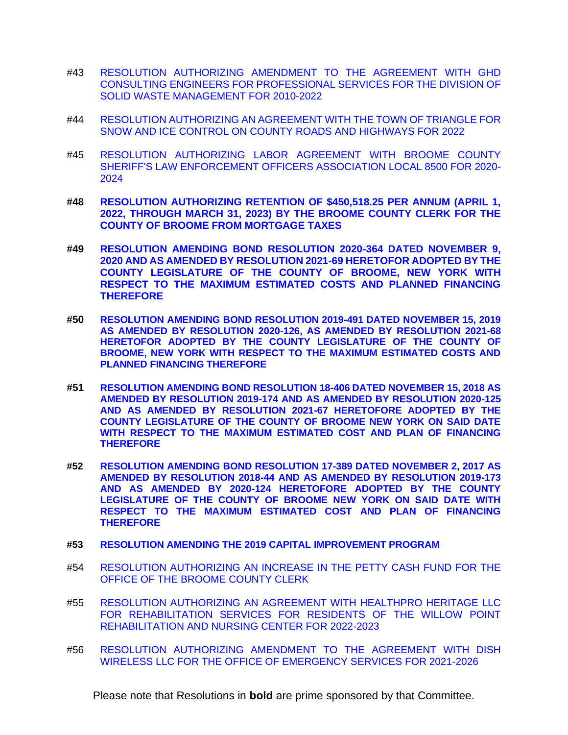- #43 [RESOLUTION AUTHORIZING AMENDMENT TO THE AGREEMENT WITH GHD](https://www.gobroomecounty.com/sites/default/files/dept/legis/03172022-43.pdf)  [CONSULTING ENGINEERS FOR PROFESSIONAL SERVICES FOR THE DIVISION OF](https://www.gobroomecounty.com/sites/default/files/dept/legis/03172022-43.pdf)  [SOLID WASTE MANAGEMENT FOR 2010-2022](https://www.gobroomecounty.com/sites/default/files/dept/legis/03172022-43.pdf)
- #44 [RESOLUTION AUTHORIZING AN AGREEMENT WITH THE TOWN OF TRIANGLE FOR](https://www.gobroomecounty.com/sites/default/files/dept/legis/03172022-44.pdf)  [SNOW AND ICE CONTROL ON COUNTY ROADS AND HIGHWAYS FOR 2022](https://www.gobroomecounty.com/sites/default/files/dept/legis/03172022-44.pdf)
- #45 [RESOLUTION AUTHORIZING LABOR AGREEMENT WITH BROOME COUNTY](https://www.gobroomecounty.com/sites/default/files/dept/legis/03172022-45a.pdf)  [SHERIFF'S LAW ENFORCEMENT OFFICERS ASSOCIATION LOCAL 8500 FOR 2020-](https://www.gobroomecounty.com/sites/default/files/dept/legis/03172022-45a.pdf) [2024](https://www.gobroomecounty.com/sites/default/files/dept/legis/03172022-45a.pdf)
- **#48 [RESOLUTION AUTHORIZING RETENTION OF \\$450,518.25 PER ANNUM \(APRIL 1,](https://www.gobroomecounty.com/sites/default/files/dept/legis/03172022-48.pdf)  [2022, THROUGH MARCH 31, 2023\) BY THE BROOME COUNTY CLERK FOR THE](https://www.gobroomecounty.com/sites/default/files/dept/legis/03172022-48.pdf)  [COUNTY OF BROOME FROM MORTGAGE TAXES](https://www.gobroomecounty.com/sites/default/files/dept/legis/03172022-48.pdf)**
- **#49 [RESOLUTION AMENDING BOND RESOLUTION 2020-364 DATED NOVEMBER 9,](https://www.gobroomecounty.com/sites/default/files/dept/legis/03172022-49.pdf)  [2020 AND AS AMENDED BY RESOLUTION 2021-69 HERETOFOR ADOPTED BY THE](https://www.gobroomecounty.com/sites/default/files/dept/legis/03172022-49.pdf)  COUNTY LEGISLATURE OF [THE COUNTY OF BROOME, NEW YORK WITH](https://www.gobroomecounty.com/sites/default/files/dept/legis/03172022-49.pdf)  [RESPECT TO THE MAXIMUM ESTIMATED COSTS AND PLANNED FINANCING](https://www.gobroomecounty.com/sites/default/files/dept/legis/03172022-49.pdf)  [THEREFORE](https://www.gobroomecounty.com/sites/default/files/dept/legis/03172022-49.pdf)**
- **#50 [RESOLUTION AMENDING BOND RESOLUTION 2019-491 DATED NOVEMBER 15, 2019](https://www.gobroomecounty.com/sites/default/files/dept/legis/03172022-50.pdf)  [AS AMENDED BY RESOLUTION 2020-126, AS AMENDED BY RESOLUTION 2021-68](https://www.gobroomecounty.com/sites/default/files/dept/legis/03172022-50.pdf)  [HERETOFOR ADOPTED BY THE COUNTY LEGISLATURE OF THE COUNTY OF](https://www.gobroomecounty.com/sites/default/files/dept/legis/03172022-50.pdf)  [BROOME, NEW YORK WITH RESPECT TO THE MAXIMUM ESTIMATED COSTS AND](https://www.gobroomecounty.com/sites/default/files/dept/legis/03172022-50.pdf)  [PLANNED FINANCING THEREFORE](https://www.gobroomecounty.com/sites/default/files/dept/legis/03172022-50.pdf)**
- **#51 [RESOLUTION AMENDING BOND RESOLUTION 18-406 DATED NOVEMBER 15, 2018 AS](https://www.gobroomecounty.com/sites/default/files/dept/legis/03172022-51.pdf)  [AMENDED BY RESOLUTION 2019-174 AND AS AMENDED BY RESOLUTION 2020-125](https://www.gobroomecounty.com/sites/default/files/dept/legis/03172022-51.pdf)  [AND AS AMENDED BY RESOLUTION 2021-67 HERETOFORE ADOPTED BY THE](https://www.gobroomecounty.com/sites/default/files/dept/legis/03172022-51.pdf)  [COUNTY LEGISLATURE OF THE COUNTY OF BROOME NEW YORK ON SAID DATE](https://www.gobroomecounty.com/sites/default/files/dept/legis/03172022-51.pdf)  WITH RESPECT TO THE [MAXIMUM ESTIMATED COST AND PLAN OF FINANCING](https://www.gobroomecounty.com/sites/default/files/dept/legis/03172022-51.pdf)  [THEREFORE](https://www.gobroomecounty.com/sites/default/files/dept/legis/03172022-51.pdf)**
- **#52 [RESOLUTION AMENDING BOND RESOLUTION 17-389 DATED NOVEMBER 2, 2017 AS](https://www.gobroomecounty.com/sites/default/files/dept/legis/03172022-52a.pdf)  AMENDED BY RESOLUTION 2018-44 [AND AS AMENDED BY RESOLUTION 2019-173](https://www.gobroomecounty.com/sites/default/files/dept/legis/03172022-52a.pdf)  [AND AS AMENDED BY 2020-124 HERETOFORE ADOPTED BY THE COUNTY](https://www.gobroomecounty.com/sites/default/files/dept/legis/03172022-52a.pdf)  [LEGISLATURE OF THE COUNTY OF BROOME NEW YORK ON SAID DATE WITH](https://www.gobroomecounty.com/sites/default/files/dept/legis/03172022-52a.pdf)  [RESPECT TO THE MAXIMUM ESTIMATED COST AND PLAN OF FINANCING](https://www.gobroomecounty.com/sites/default/files/dept/legis/03172022-52a.pdf)  [THEREFORE](https://www.gobroomecounty.com/sites/default/files/dept/legis/03172022-52a.pdf)**
- **#53 [RESOLUTION AMENDING THE 2019 CAPITAL IMPROVEMENT PROGRAM](https://www.gobroomecounty.com/sites/default/files/dept/legis/03172022-53.pdf)**
- #54 [RESOLUTION AUTHORIZING AN INCREASE IN THE PETTY CASH FUND FOR THE](https://www.gobroomecounty.com/sites/default/files/dept/legis/03172022-54.pdf)  [OFFICE OF THE BROOME COUNTY CLERK](https://www.gobroomecounty.com/sites/default/files/dept/legis/03172022-54.pdf)
- #55 [RESOLUTION AUTHORIZING AN AGREEMENT WITH HEALTHPRO HERITAGE LLC](https://www.gobroomecounty.com/sites/default/files/dept/legis/03172022-55.pdf)  [FOR REHABILITATION SERVICES FOR RESIDENTS OF THE WILLOW POINT](https://www.gobroomecounty.com/sites/default/files/dept/legis/03172022-55.pdf)  [REHABILITATION AND NURSING CENTER FOR 2022-2023](https://www.gobroomecounty.com/sites/default/files/dept/legis/03172022-55.pdf)
- #56 [RESOLUTION AUTHORIZING AMENDMENT TO THE AGREEMENT WITH DISH](https://www.gobroomecounty.com/sites/default/files/dept/legis/03172022-56.pdf)  [WIRELESS LLC FOR THE OFFICE OF EMERGENCY SERVICES FOR 2021-2026](https://www.gobroomecounty.com/sites/default/files/dept/legis/03172022-56.pdf)